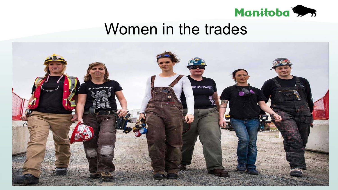

### Women in the trades

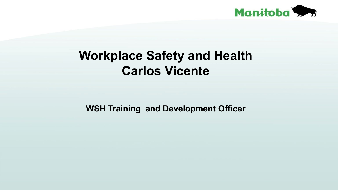

### **Workplace Safety and Health Carlos Vicente**

**WSH Training and Development Officer**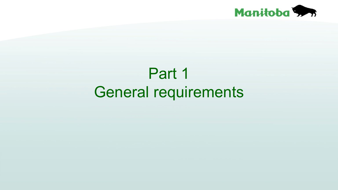

# Part 1 General requirements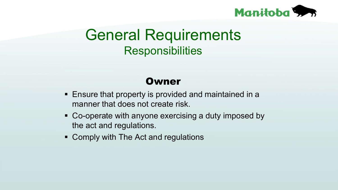

### General Requirements **Responsibilities**

### **Owner**

- Ensure that property is provided and maintained in a manner that does not create risk.
- Co-operate with anyone exercising a duty imposed by the act and regulations.
- Comply with The Act and regulations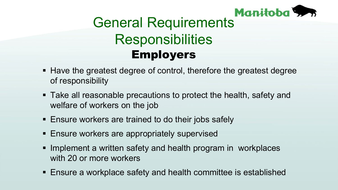

# **Manitoba Responsibilities** Employers

- Have the greatest degree of control, therefore the greatest degree of responsibility
- Take all reasonable precautions to protect the health, safety and welfare of workers on the job
- **Ensure workers are trained to do their jobs safely**
- **Ensure workers are appropriately supervised**
- Implement a written safety and health program in workplaces with 20 or more workers
- Ensure a workplace safety and health committee is established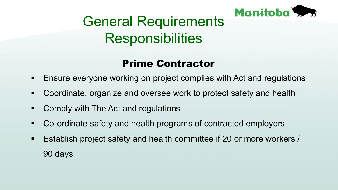

# General Requirements **Responsibilities**

### Prime Contractor

- Ensure everyone working on project complies with Act and regulations
- Coordinate, organize and oversee work to protect safety and health
- Comply with The Act and regulations
- Co-ordinate safety and health programs of contracted employers
- Establish project safety and health committee if 20 or more workers / 90 days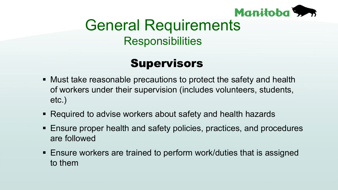

### General Requirements **Responsibilities**

### **Supervisors**

- Must take reasonable precautions to protect the safety and health of workers under their supervision (includes volunteers, students, etc.)
- Required to advise workers about safety and health hazards
- Ensure proper health and safety policies, practices, and procedures are followed
- Ensure workers are trained to perform work/duties that is assigned to them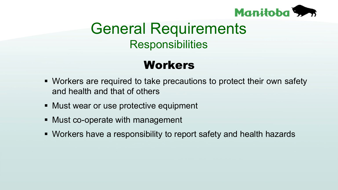

## General Requirements **Responsibilities**

### Workers

- Workers are required to take precautions to protect their own safety and health and that of others
- **Must wear or use protective equipment**
- Must co-operate with management
- Workers have a responsibility to report safety and health hazards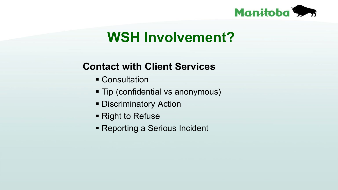

### **WSH Involvement?**

### **Contact with Client Services**

- **Consultation**
- **Tip (confidential vs anonymous)**
- **Discriminatory Action**
- Right to Refuse
- Reporting a Serious Incident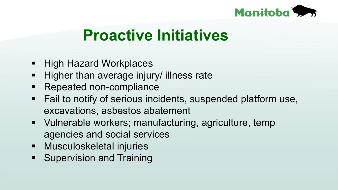

# **Proactive Initiatives**

- **High Hazard Workplaces**
- **Higher than average injury/ illness rate**
- **Repeated non-compliance**
- Fail to notify of serious incidents, suspended platform use, excavations, asbestos abatement
- Vulnerable workers; manufacturing, agriculture, temp agencies and social services
- **-** Musculoskeletal injuries
- **Supervision and Training**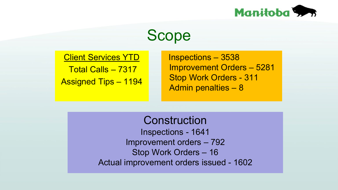

### Scope

Client Services YTD Total Calls – 7317

Assigned Tips – 1194

Inspections – 3538 Improvement Orders – 5281 Stop Work Orders - 311 Admin penalties – 8

**Construction** Inspections - 1641 Improvement orders – 792 Stop Work Orders – 16 Actual improvement orders issued - 1602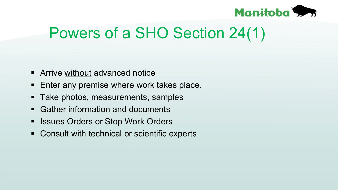

# Powers of a SHO Section 24(1)

- **EXTENCE Without advanced notice**
- **Enter any premise where work takes place.**
- Take photos, measurements, samples
- Gather information and documents
- **Exercise Stop Work Orders**
- **EXECONSULT WITH THE CONSULT WITH THE CONSULT WITH THE CONSULT IN THE CONSULTER**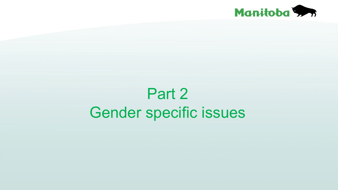

# Part 2 Gender specific issues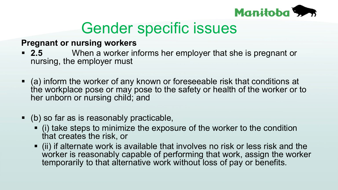

#### **Pregnant or nursing workers**

- **2.5** When a worker informs her employer that she is pregnant or nursing, the employer must
- (a) inform the worker of any known or foreseeable risk that conditions at the workplace pose or may pose to the safety or health of the worker or to her unborn or nursing child; and
- (b) so far as is reasonably practicable,
	- (i) take steps to minimize the exposure of the worker to the condition that creates the risk, or
	- (ii) if alternate work is available that involves no risk or less risk and the worker is reasonably capable of performing that work, assign the worker temporarily to that alternative work without loss of pay or benefits.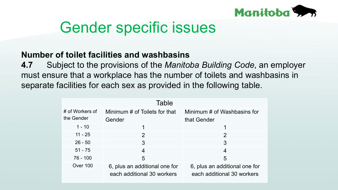

#### **Number of toilet facilities and washbasins**

**4.7** Subject to the provisions of the *Manitoba Building Code*, an employer must ensure that a workplace has the number of toilets and washbasins in separate facilities for each sex as provided in the following table.

| Table                         |                                                             |                                                             |
|-------------------------------|-------------------------------------------------------------|-------------------------------------------------------------|
| # of Workers of<br>the Gender | Minimum # of Toilets for that<br>Gender                     | Minimum # of Washbasins for<br>that Gender                  |
| $1 - 10$                      |                                                             |                                                             |
| $11 - 25$                     | $\overline{2}$                                              | $\overline{2}$                                              |
| $26 - 50$                     | 3                                                           | 3                                                           |
| $51 - 75$                     | 4                                                           | 4                                                           |
| $76 - 100$                    | 5                                                           | 5                                                           |
| Over 100                      | 6, plus an additional one for<br>each additional 30 workers | 6, plus an additional one for<br>each additional 30 workers |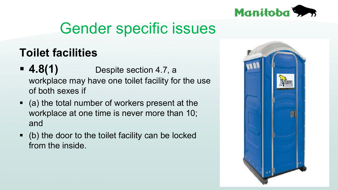

### **Toilet facilities**

- **4.8(1)** Despite section 4.7, a workplace may have one toilet facility for the use of both sexes if
- (a) the total number of workers present at the workplace at one time is never more than 10; and
- (b) the door to the toilet facility can be locked from the inside.

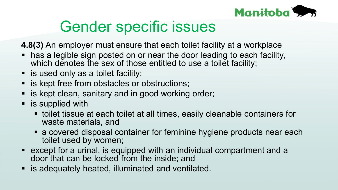

**4.8(3)** An employer must ensure that each toilet facility at a workplace

- has a legible sign posted on or near the door leading to each facility, which denotes the sex of those entitled to use a toilet facility;
- is used only as a toilet facility;
- is kept free from obstacles or obstructions;
- is kept clean, sanitary and in good working order;
- **EX is supplied with** 
	- toilet tissue at each toilet at all times, easily cleanable containers for waste materials, and
	- a covered disposal container for feminine hygiene products near each toilet used by women;
- except for a urinal, is equipped with an individual compartment and a door that can be locked from the inside; and
- is adequately heated, illuminated and ventilated.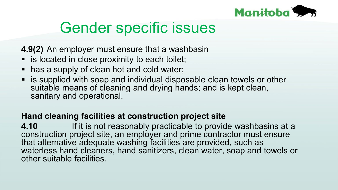

**4.9(2)** An employer must ensure that a washbasin

- is located in close proximity to each toilet;
- has a supply of clean hot and cold water;
- is supplied with soap and individual disposable clean towels or other suitable means of cleaning and drying hands; and is kept clean, sanitary and operational.

#### **Hand cleaning facilities at construction project site**

**4.10** If it is not reasonably practicable to provide washbasins at a construction project site, an employer and prime contractor must ensure that alternative adequate washing facilities are provided, such as waterless hand cleaners, hand sanitizers, clean water, soap and towels or other suitable facilities.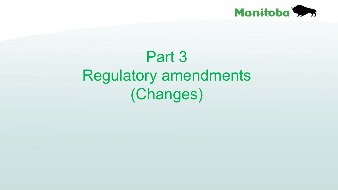

# Part 3 Regulatory amendments (Changes)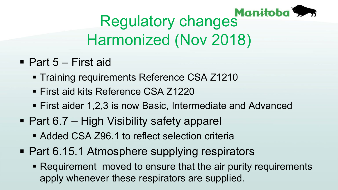

# Regulatory changes Manitoba Harmonized (Nov 2018)

- Part 5 First aid
	- **Training requirements Reference CSA Z1210**
	- First aid kits Reference CSA Z1220
	- First aider 1,2,3 is now Basic, Intermediate and Advanced
- Part 6.7 High Visibility safety apparel
	- Added CSA Z96.1 to reflect selection criteria
- **Part 6.15.1 Atmosphere supplying respirators** 
	- Requirement moved to ensure that the air purity requirements apply whenever these respirators are supplied.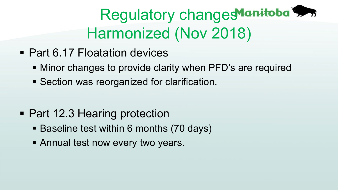# Regulatory changes Manitoba Harmonized (Nov 2018)

- Part 6.17 Floatation devices
	- Minor changes to provide clarity when PFD's are required
	- **Section was reorganized for clarification.**

- Part 12.3 Hearing protection
	- Baseline test within 6 months (70 days)
	- **Example 1 Annual test now every two years.**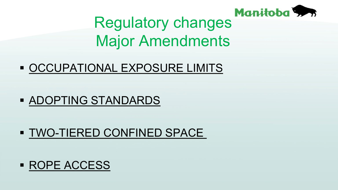

# Regulatory changes Manitoba Major Amendments

### **OCCUPATIONAL EXPOSURE LIMITS**

### **ADOPTING STANDARDS**

### **TWO-TIERED CONFINED SPACE**

### **ROPE ACCESS**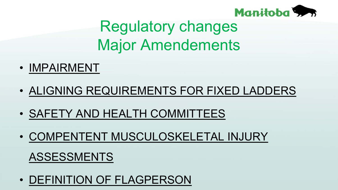

# Regulatory changes Major Amendements

- IMPAIRMENT
- ALIGNING REQUIREMENTS FOR FIXED LADDERS
- SAFETY AND HEALTH COMMITTEES
- COMPENTENT MUSCULOSKELETAL INJURY

### ASSESSMENTS

• DEFINITION OF FLAGPERSON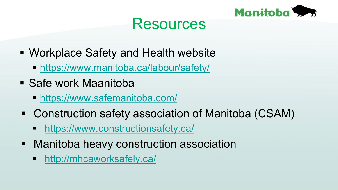

### Resources

- **Workplace Safety and Health website** 
	- <https://www.manitoba.ca/labour/safety/>
- **Safe work Maanitoba** 
	- <https://www.safemanitoba.com/>
- Construction safety association of Manitoba (CSAM)
	- <https://www.constructionsafety.ca/>
- **Manitoba heavy construction association** 
	- **-** <http://mhcaworksafely.ca/>